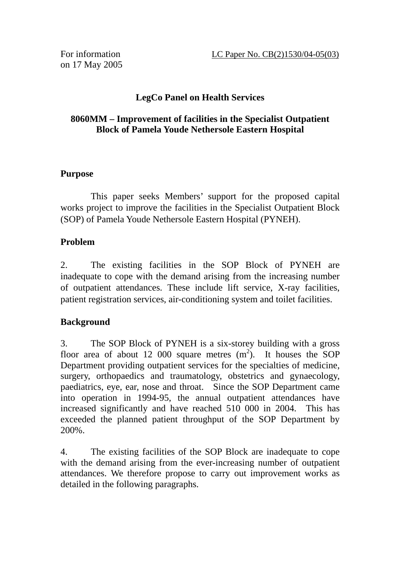on 17 May 2005

# **LegCo Panel on Health Services**

# **8060MM – Improvement of facilities in the Specialist Outpatient Block of Pamela Youde Nethersole Eastern Hospital**

## **Purpose**

 This paper seeks Members' support for the proposed capital works project to improve the facilities in the Specialist Outpatient Block (SOP) of Pamela Youde Nethersole Eastern Hospital (PYNEH).

## **Problem**

2. The existing facilities in the SOP Block of PYNEH are inadequate to cope with the demand arising from the increasing number of outpatient attendances. These include lift service, X-ray facilities, patient registration services, air-conditioning system and toilet facilities.

## **Background**

3. The SOP Block of PYNEH is a six-storey building with a gross floor area of about 12 000 square metres  $(m^2)$ . It houses the SOP Department providing outpatient services for the specialties of medicine, surgery, orthopaedics and traumatology, obstetrics and gynaecology, paediatrics, eye, ear, nose and throat. Since the SOP Department came into operation in 1994-95, the annual outpatient attendances have increased significantly and have reached 510 000 in 2004. This has exceeded the planned patient throughput of the SOP Department by 200%.

4. The existing facilities of the SOP Block are inadequate to cope with the demand arising from the ever-increasing number of outpatient attendances. We therefore propose to carry out improvement works as detailed in the following paragraphs.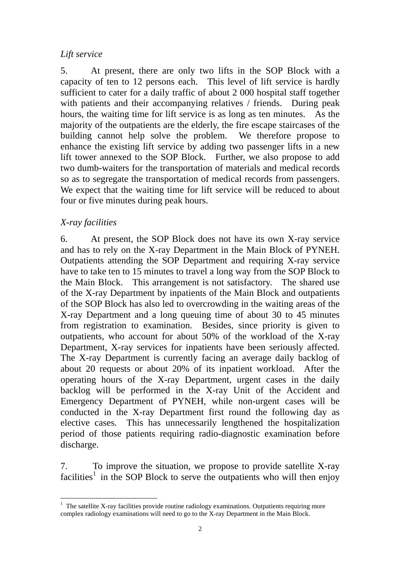## *Lift service*

5. At present, there are only two lifts in the SOP Block with a capacity of ten to 12 persons each. This level of lift service is hardly sufficient to cater for a daily traffic of about 2 000 hospital staff together with patients and their accompanying relatives / friends. During peak hours, the waiting time for lift service is as long as ten minutes. As the majority of the outpatients are the elderly, the fire escape staircases of the building cannot help solve the problem. We therefore propose to enhance the existing lift service by adding two passenger lifts in a new lift tower annexed to the SOP Block. Further, we also propose to add two dumb-waiters for the transportation of materials and medical records so as to segregate the transportation of medical records from passengers. We expect that the waiting time for lift service will be reduced to about four or five minutes during peak hours.

# *X-ray facilities*

6. At present, the SOP Block does not have its own X-ray service and has to rely on the X-ray Department in the Main Block of PYNEH. Outpatients attending the SOP Department and requiring X-ray service have to take ten to 15 minutes to travel a long way from the SOP Block to the Main Block. This arrangement is not satisfactory. The shared use of the X-ray Department by inpatients of the Main Block and outpatients of the SOP Block has also led to overcrowding in the waiting areas of the X-ray Department and a long queuing time of about 30 to 45 minutes from registration to examination. Besides, since priority is given to outpatients, who account for about 50% of the workload of the X-ray Department, X-ray services for inpatients have been seriously affected. The X-ray Department is currently facing an average daily backlog of about 20 requests or about 20% of its inpatient workload. After the operating hours of the X-ray Department, urgent cases in the daily backlog will be performed in the X-ray Unit of the Accident and Emergency Department of PYNEH, while non-urgent cases will be conducted in the X-ray Department first round the following day as elective cases. This has unnecessarily lengthened the hospitalization period of those patients requiring radio-diagnostic examination before discharge.

7. To improve the situation, we propose to provide satellite X-ray facilities<sup>1</sup> in the SOP Block to serve the outpatients who will then enjoy

 $\overline{a}$ <sup>1</sup> The satellite X-ray facilities provide routine radiology examinations. Outpatients requiring more complex radiology examinations will need to go to the X-ray Department in the Main Block.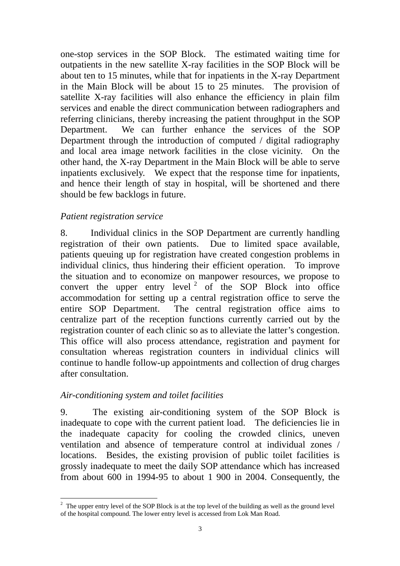one-stop services in the SOP Block. The estimated waiting time for outpatients in the new satellite X-ray facilities in the SOP Block will be about ten to 15 minutes, while that for inpatients in the X-ray Department in the Main Block will be about 15 to 25 minutes. The provision of satellite X-ray facilities will also enhance the efficiency in plain film services and enable the direct communication between radiographers and referring clinicians, thereby increasing the patient throughput in the SOP Department. We can further enhance the services of the SOP Department through the introduction of computed / digital radiography and local area image network facilities in the close vicinity. On the other hand, the X-ray Department in the Main Block will be able to serve inpatients exclusively. We expect that the response time for inpatients, and hence their length of stay in hospital, will be shortened and there should be few backlogs in future.

## *Patient registration service*

8. Individual clinics in the SOP Department are currently handling registration of their own patients. Due to limited space available, patients queuing up for registration have created congestion problems in individual clinics, thus hindering their efficient operation. To improve the situation and to economize on manpower resources, we propose to convert the upper entry level  $2$  of the SOP Block into office accommodation for setting up a central registration office to serve the entire SOP Department. The central registration office aims to centralize part of the reception functions currently carried out by the registration counter of each clinic so as to alleviate the latter's congestion. This office will also process attendance, registration and payment for consultation whereas registration counters in individual clinics will continue to handle follow-up appointments and collection of drug charges after consultation.

#### *Air-conditioning system and toilet facilities*

9. The existing air-conditioning system of the SOP Block is inadequate to cope with the current patient load. The deficiencies lie in the inadequate capacity for cooling the crowded clinics, uneven ventilation and absence of temperature control at individual zones / locations. Besides, the existing provision of public toilet facilities is grossly inadequate to meet the daily SOP attendance which has increased from about 600 in 1994-95 to about 1 900 in 2004. Consequently, the

<sup>&</sup>lt;sup>2</sup> The upper entry level of the SOP Block is at the top level of the building as well as the ground level of the hospital compound. The lower entry level is accessed from Lok Man Road.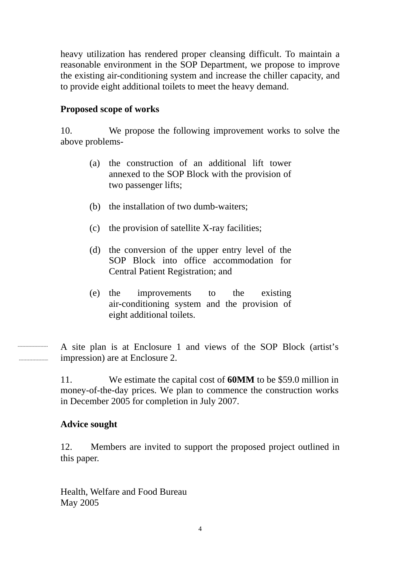heavy utilization has rendered proper cleansing difficult. To maintain a reasonable environment in the SOP Department, we propose to improve the existing air-conditioning system and increase the chiller capacity, and to provide eight additional toilets to meet the heavy demand.

## **Proposed scope of works**

10. We propose the following improvement works to solve the above problems-

- (a) the construction of an additional lift tower annexed to the SOP Block with the provision of two passenger lifts;
- (b) the installation of two dumb-waiters;
- (c) the provision of satellite X-ray facilities;
- (d) the conversion of the upper entry level of the SOP Block into office accommodation for Central Patient Registration; and
- (e) the improvements to the existing air-conditioning system and the provision of eight additional toilets.

A site plan is at Enclosure 1 and views of the SOP Block (artist's impression) are at Enclosure 2.

11. We estimate the capital cost of **60MM** to be \$59.0 million in money-of-the-day prices. We plan to commence the construction works in December 2005 for completion in July 2007.

## **Advice sought**

12. Members are invited to support the proposed project outlined in this paper.

Health, Welfare and Food Bureau May 2005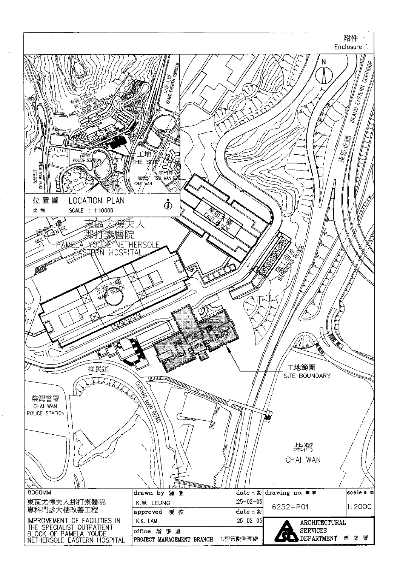